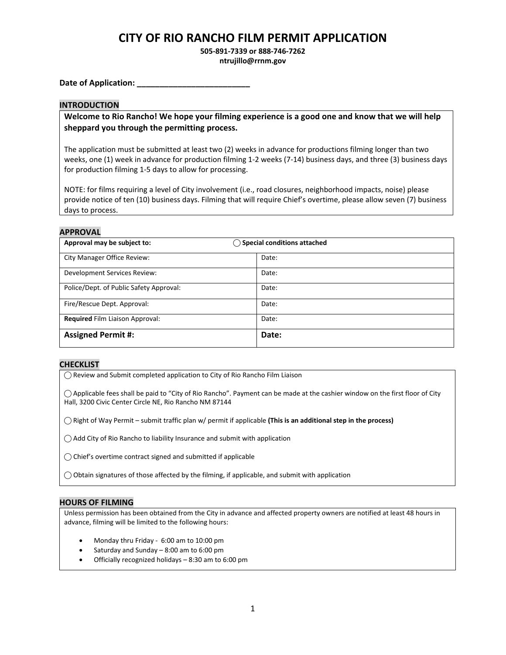**505‐891‐7339 or 888‐746‐7262**

**ntrujillo@rrnm.gov**

**Date of Application: \_\_\_\_\_\_\_\_\_\_\_\_\_\_\_\_\_\_\_\_\_\_\_\_\_**

## **INTRODUCTION**

Welcome to Rio Rancho! We hope your filming experience is a good one and know that we will help **sheppard you through the permitting process.** 

The application must be submitted at least two (2) weeks in advance for productions filming longer than two weeks, one (1) week in advance for production filming 1-2 weeks (7-14) business days, and three (3) business days for production filming 1‐5 days to allow for processing.

NOTE: for films requiring a level of City involvement (i.e., road closures, neighborhood impacts, noise) please provide notice of ten (10) business days. Filming that will require Chief's overtime, please allow seven (7) business days to process.

### **APPROVAL**

| Approval may be subject to:             | $\bigcirc$ Special conditions attached |
|-----------------------------------------|----------------------------------------|
| City Manager Office Review:             | Date:                                  |
| Development Services Review:            | Date:                                  |
| Police/Dept. of Public Safety Approval: | Date:                                  |
| Fire/Rescue Dept. Approval:             | Date:                                  |
| Required Film Liaison Approval:         | Date:                                  |
| <b>Assigned Permit #:</b>               | Date:                                  |

## **CHECKLIST**

 $\bigcap$  Review and Submit completed application to City of Rio Rancho Film Liaison

 $\bigcap$  Applicable fees shall be paid to "City of Rio Rancho". Payment can be made at the cashier window on the first floor of City Hall, 3200 Civic Center Circle NE, Rio Rancho NM 87144

⃝ Right of Way Permit – submit traffic plan w/ permit if applicable **(This is an additional step in the process)**

 $\bigcap$  Add City of Rio Rancho to liability Insurance and submit with application

⃝ Chief's overtime contract signed and submitted if applicable

 $\bigcirc$  Obtain signatures of those affected by the filming, if applicable, and submit with application

## **HOURS OF FILMING**

Unless permission has been obtained from the City in advance and affected property owners are notified at least 48 hours in advance, filming will be limited to the following hours:

- Monday thru Friday ‐ 6:00 am to 10:00 pm
- Saturday and Sunday 8:00 am to 6:00 pm
- Officially recognized holidays 8:30 am to 6:00 pm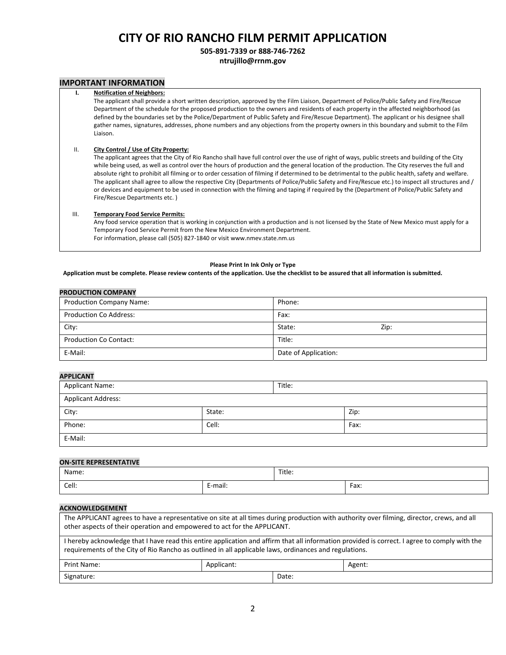# **505‐891‐7339 or 888‐746‐7262**

### **ntrujillo@rrnm.gov**

### **IMPORTANT INFORMATION**

### **I. Notification of Neighbors:**

The applicant shall provide a short written description, approved by the Film Liaison, Department of Police/Public Safety and Fire/Rescue Department of the schedule for the proposed production to the owners and residents of each property in the affected neighborhood (as defined by the boundaries set by the Police/Department of Public Safety and Fire/Rescue Department). The applicant or his designee shall gather names, signatures, addresses, phone numbers and any objections from the property owners in this boundary and submit to the Film Liaison.

#### II. **City Control / Use of City Property:**

The applicant agrees that the City of Rio Rancho shall have full control over the use of right of ways, public streets and building of the City while being used, as well as control over the hours of production and the general location of the production. The City reserves the full and absolute right to prohibit all filming or to order cessation of filming if determined to be detrimental to the public health, safety and welfare. The applicant shall agree to allow the respective City (Departments of Police/Public Safety and Fire/Rescue etc.) to inspect all structures and / or devices and equipment to be used in connection with the filming and taping if required by the (Department of Police/Public Safety and Fire/Rescue Departments etc. )

#### III. **Temporary Food Service Permits:**

Any food service operation that is working in conjunction with a production and is not licensed by the State of New Mexico must apply for a Temporary Food Service Permit from the New Mexico Environment Department. For information, please call (505) 827‐1840 or visit www.nmev.state.nm.us

#### **Please Print In Ink Only or Type**

#### Application must be complete. Please review contents of the application. Use the checklist to be assured that all information is submitted.

| <b>PRODUCTION COMPANY</b>       |                      |
|---------------------------------|----------------------|
| <b>Production Company Name:</b> | Phone:               |
| <b>Production Co Address:</b>   | Fax:                 |
| City:                           | State:<br>Zip:       |
| <b>Production Co Contact:</b>   | Title:               |
| E-Mail:                         | Date of Application: |

### **APPLICANT**

| .                      |        |        |      |
|------------------------|--------|--------|------|
| <b>Applicant Name:</b> |        | Title: |      |
| Applicant Address:     |        |        |      |
| City:                  | State: |        | Zip: |
| Phone:                 | Cell:  |        | Fax: |
| E-Mail:                |        |        |      |

### **ON‐SITE REPRESENTATIVE**

**PRODUCTION COMPANY**

| Name: |                      | Title: |      |
|-------|----------------------|--------|------|
| Cell: | $\cdot$ .<br>E-mail: |        | Fax: |

### **ACKNOWLEDGEMENT**

| The APPLICANT agrees to have a representative on site at all times during production with authority over filming, director, crews, and all<br>other aspects of their operation and empowered to act for the APPLICANT.                                  |  |       |  |
|---------------------------------------------------------------------------------------------------------------------------------------------------------------------------------------------------------------------------------------------------------|--|-------|--|
| I hereby acknowledge that I have read this entire application and affirm that all information provided is correct. I agree to comply with the<br>requirements of the City of Rio Rancho as outlined in all applicable laws, ordinances and regulations. |  |       |  |
| Print Name:<br>Applicant:<br>Agent:                                                                                                                                                                                                                     |  |       |  |
| Signature:                                                                                                                                                                                                                                              |  | Date: |  |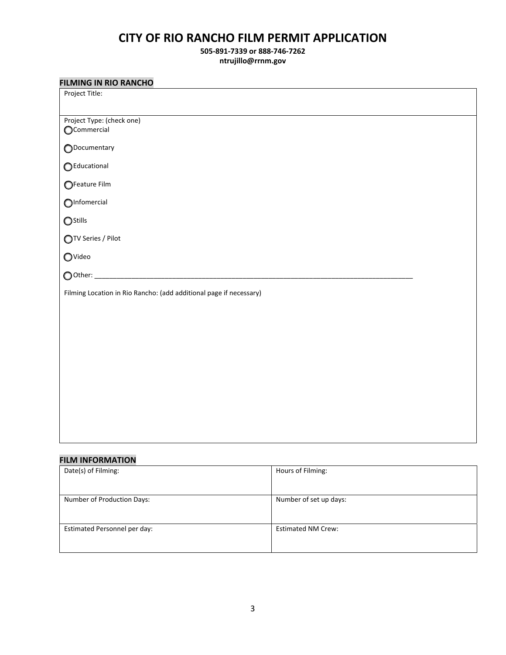**505‐891‐7339 or 888‐746‐7262 ntrujillo@rrnm.gov**

| <b>FILMING IN RIO RANCHO</b>                                       |  |
|--------------------------------------------------------------------|--|
| Project Title:                                                     |  |
|                                                                    |  |
| Project Type: (check one)                                          |  |
| OCommercial                                                        |  |
| ODocumentary                                                       |  |
| GEducational                                                       |  |
| ○Feature Film                                                      |  |
| $\bigcirc$ Infomercial                                             |  |
| $\bigcirc$ Stills                                                  |  |
| <b>OTV Series / Pilot</b>                                          |  |
| OVideo                                                             |  |
|                                                                    |  |
| Filming Location in Rio Rancho: (add additional page if necessary) |  |
|                                                                    |  |
|                                                                    |  |
|                                                                    |  |
|                                                                    |  |
|                                                                    |  |
|                                                                    |  |
|                                                                    |  |
|                                                                    |  |
|                                                                    |  |
|                                                                    |  |

# **FILM INFORMATION**

| Date(s) of Filming:          | Hours of Filming:         |
|------------------------------|---------------------------|
| Number of Production Days:   | Number of set up days:    |
| Estimated Personnel per day: | <b>Estimated NM Crew:</b> |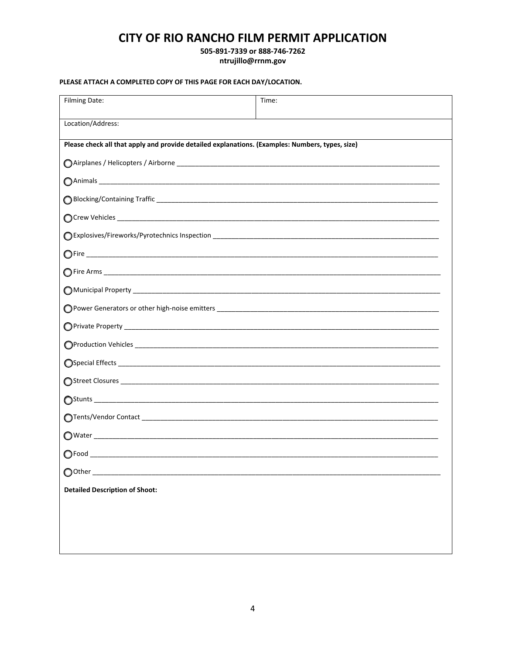505-891-7339 or 888-746-7262

ntrujillo@rrnm.gov

## PLEASE ATTACH A COMPLETED COPY OF THIS PAGE FOR EACH DAY/LOCATION.

| <b>Filming Date:</b>                                                                            | Time: |  |
|-------------------------------------------------------------------------------------------------|-------|--|
| Location/Address:                                                                               |       |  |
| Please check all that apply and provide detailed explanations. (Examples: Numbers, types, size) |       |  |
|                                                                                                 |       |  |
|                                                                                                 |       |  |
|                                                                                                 |       |  |
|                                                                                                 |       |  |
|                                                                                                 |       |  |
|                                                                                                 |       |  |
|                                                                                                 |       |  |
|                                                                                                 |       |  |
|                                                                                                 |       |  |
|                                                                                                 |       |  |
|                                                                                                 |       |  |
|                                                                                                 |       |  |
|                                                                                                 |       |  |
|                                                                                                 |       |  |
|                                                                                                 |       |  |
|                                                                                                 |       |  |
|                                                                                                 |       |  |
|                                                                                                 |       |  |
| <b>Detailed Description of Shoot:</b>                                                           |       |  |
|                                                                                                 |       |  |
|                                                                                                 |       |  |
|                                                                                                 |       |  |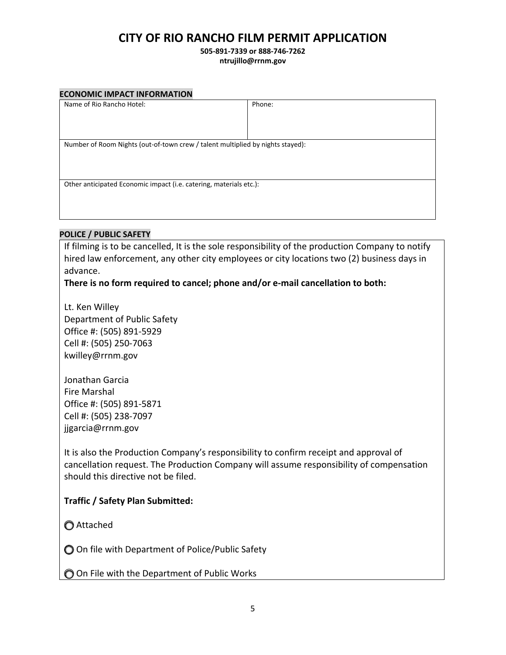**505‐891‐7339 or 888‐746‐7262 ntrujillo@rrnm.gov**

| <b>ECONOMIC IMPACT INFORMATION</b>                                             |        |  |
|--------------------------------------------------------------------------------|--------|--|
| Name of Rio Rancho Hotel:                                                      | Phone: |  |
|                                                                                |        |  |
|                                                                                |        |  |
|                                                                                |        |  |
| Number of Room Nights (out-of-town crew / talent multiplied by nights stayed): |        |  |
|                                                                                |        |  |
|                                                                                |        |  |
|                                                                                |        |  |
| Other anticipated Economic impact (i.e. catering, materials etc.):             |        |  |
|                                                                                |        |  |
|                                                                                |        |  |
|                                                                                |        |  |

# **POLICE / PUBLIC SAFETY**

If filming is to be cancelled, It is the sole responsibility of the production Company to notify hired law enforcement, any other city employees or city locations two (2) business days in advance.

# **There is no form required to cancel; phone and/or e‐mail cancellation to both:**

Lt. Ken Willey Department of Public Safety Office #: (505) 891‐5929 Cell #: (505) 250‐7063 kwilley@rrnm.gov

Jonathan Garcia Fire Marshal Office #: (505) 891‐5871 Cell #: (505) 238‐7097 jjgarcia@rrnm.gov

It is also the Production Company's responsibility to confirm receipt and approval of cancellation request. The Production Company will assume responsibility of compensation should this directive not be filed.

# **Traffic / Safety Plan Submitted:**

⃝ Attached

◯ On file with Department of Police/Public Safety

⃝ On File with the Department of Public Works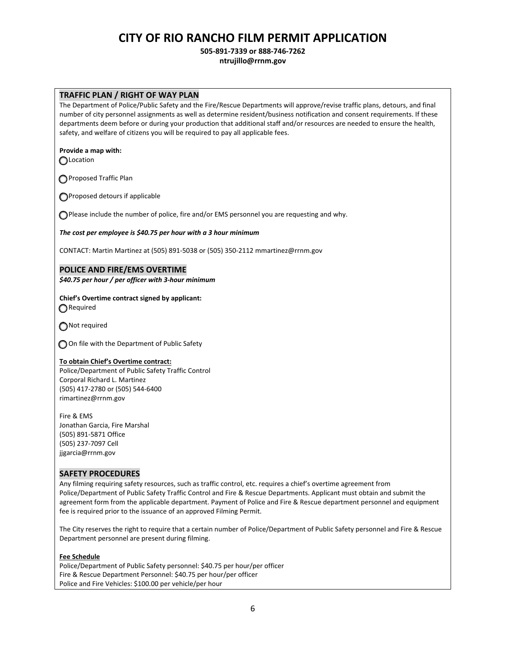**505‐891‐7339 or 888‐746‐7262**

**ntrujillo@rrnm.gov**

## **TRAFFIC PLAN / RIGHT OF WAY PLAN**

The Department of Police/Public Safety and the Fire/Rescue Departments will approve/revise traffic plans, detours, and final number of city personnel assignments as well as determine resident/business notification and consent requirements. If these departments deem before or during your production that additional staff and/or resources are needed to ensure the health, safety, and welfare of citizens you will be required to pay all applicable fees.

# **Provide a map with:**

**OLocation** 

**●Proposed Traffic Plan** 

◯ Proposed detours if applicable

◯ Please include the number of police, fire and/or EMS personnel you are requesting and why.

*The cost per employee is \$40.75 per hour with a 3 hour minimum*

CONTACT: Martin Martinez at (505) 891‐5038 or (505) 350‐2112 mmartinez@rrnm.gov

## **POLICE AND FIRE/EMS OVERTIME**

*\$40.75 per hour / per officer with 3‐hour minimum*

**Chief's Overtime contract signed by applicant: ○** Required

◯ Not required

◯ On file with the Department of Public Safety

### **To obtain Chief's Overtime contract:**

Police/Department of Public Safety Traffic Control Corporal Richard L. Martinez (505) 417‐2780 or (505) 544‐6400 rimartinez@rrnm.gov

Fire & EMS Jonathan Garcia, Fire Marshal (505) 891‐5871 Office (505) 237‐7097 Cell jjgarcia@rrnm.gov

## **SAFETY PROCEDURES**

Any filming requiring safety resources, such as traffic control, etc. requires a chief's overtime agreement from Police/Department of Public Safety Traffic Control and Fire & Rescue Departments. Applicant must obtain and submit the agreement form from the applicable department. Payment of Police and Fire & Rescue department personnel and equipment fee is required prior to the issuance of an approved Filming Permit.

The City reserves the right to require that a certain number of Police/Department of Public Safety personnel and Fire & Rescue Department personnel are present during filming.

### **Fee Schedule**

Police/Department of Public Safety personnel: \$40.75 per hour/per officer Fire & Rescue Department Personnel: \$40.75 per hour/per officer Police and Fire Vehicles: \$100.00 per vehicle/per hour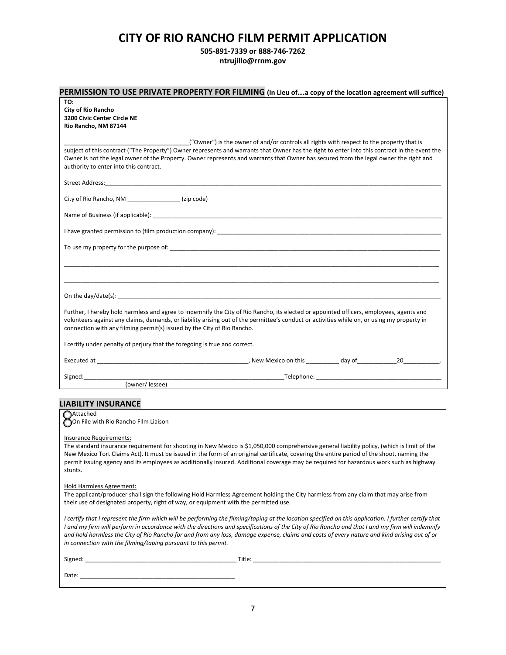**505‐891‐7339 or 888‐746‐7262**

**ntrujillo@rrnm.gov**

|                                                                                                                         | PERMISSION TO USE PRIVATE PROPERTY FOR FILMING (in Lieu ofa copy of the location agreement will suffice)                                                                                                                                                                                                                                                                                                                                                |
|-------------------------------------------------------------------------------------------------------------------------|---------------------------------------------------------------------------------------------------------------------------------------------------------------------------------------------------------------------------------------------------------------------------------------------------------------------------------------------------------------------------------------------------------------------------------------------------------|
| TO:<br><b>City of Rio Rancho</b><br>3200 Civic Center Circle NE<br>Rio Rancho, NM 87144                                 |                                                                                                                                                                                                                                                                                                                                                                                                                                                         |
| authority to enter into this contract.                                                                                  | ("Owner") is the owner of and/or controls all rights with respect to the property that is<br>subject of this contract ("The Property") Owner represents and warrants that Owner has the right to enter into this contract in the event the<br>Owner is not the legal owner of the Property. Owner represents and warrants that Owner has secured from the legal owner the right and                                                                     |
|                                                                                                                         |                                                                                                                                                                                                                                                                                                                                                                                                                                                         |
| City of Rio Rancho, NM _________________(zip code)                                                                      |                                                                                                                                                                                                                                                                                                                                                                                                                                                         |
|                                                                                                                         |                                                                                                                                                                                                                                                                                                                                                                                                                                                         |
|                                                                                                                         |                                                                                                                                                                                                                                                                                                                                                                                                                                                         |
|                                                                                                                         |                                                                                                                                                                                                                                                                                                                                                                                                                                                         |
|                                                                                                                         |                                                                                                                                                                                                                                                                                                                                                                                                                                                         |
|                                                                                                                         |                                                                                                                                                                                                                                                                                                                                                                                                                                                         |
| connection with any filming permit(s) issued by the City of Rio Rancho.                                                 | Further, I hereby hold harmless and agree to indemnify the City of Rio Rancho, its elected or appointed officers, employees, agents and<br>volunteers against any claims, demands, or liability arising out of the permittee's conduct or activities while on, or using my property in                                                                                                                                                                  |
| I certify under penalty of perjury that the foregoing is true and correct.                                              |                                                                                                                                                                                                                                                                                                                                                                                                                                                         |
|                                                                                                                         |                                                                                                                                                                                                                                                                                                                                                                                                                                                         |
| Signed:_____________                                                                                                    |                                                                                                                                                                                                                                                                                                                                                                                                                                                         |
|                                                                                                                         |                                                                                                                                                                                                                                                                                                                                                                                                                                                         |
| <b>LIABILITY INSURANCE</b><br>$\bigcap$ Attached                                                                        |                                                                                                                                                                                                                                                                                                                                                                                                                                                         |
| On File with Rio Rancho Film Liaison                                                                                    |                                                                                                                                                                                                                                                                                                                                                                                                                                                         |
| Insurance Requirements:<br>stunts.                                                                                      | The standard insurance requirement for shooting in New Mexico is \$1,050,000 comprehensive general liability policy, (which is limit of the<br>New Mexico Tort Claims Act). It must be issued in the form of an original certificate, covering the entire period of the shoot, naming the<br>permit issuing agency and its employees as additionally insured. Additional coverage may be required for hazardous work such as highway                    |
| <b>Hold Harmless Agreement:</b><br>their use of designated property, right of way, or equipment with the permitted use. | The applicant/producer shall sign the following Hold Harmless Agreement holding the City harmless from any claim that may arise from                                                                                                                                                                                                                                                                                                                    |
| in connection with the filming/taping pursuant to this permit.                                                          | I certify that I represent the firm which will be performing the filming/taping at the location specified on this application. I further certify that<br>I and my firm will perform in accordance with the directions and specifications of the City of Rio Rancho and that I and my firm will indemnify<br>and hold harmless the City of Rio Rancho for and from any loss, damage expense, claims and costs of every nature and kind arising out of or |
|                                                                                                                         |                                                                                                                                                                                                                                                                                                                                                                                                                                                         |
|                                                                                                                         |                                                                                                                                                                                                                                                                                                                                                                                                                                                         |
|                                                                                                                         |                                                                                                                                                                                                                                                                                                                                                                                                                                                         |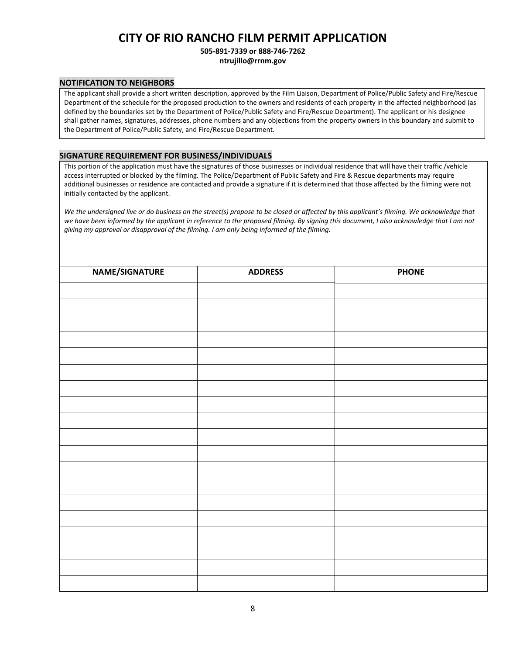**505‐891‐7339 or 888‐746‐7262**

**ntrujillo@rrnm.gov**

## **NOTIFICATION TO NEIGHBORS**

The applicant shall provide a short written description, approved by the Film Liaison, Department of Police/Public Safety and Fire/Rescue Department of the schedule for the proposed production to the owners and residents of each property in the affected neighborhood (as defined by the boundaries set by the Department of Police/Public Safety and Fire/Rescue Department). The applicant or his designee shall gather names, signatures, addresses, phone numbers and any objections from the property owners in this boundary and submit to the Department of Police/Public Safety, and Fire/Rescue Department.

## **SIGNATURE REQUIREMENT FOR BUSINESS/INDIVIDUALS**

This portion of the application must have the signatures of those businesses or individual residence that will have their traffic /vehicle access interrupted or blocked by the filming. The Police/Department of Public Safety and Fire & Rescue departments may require additional businesses or residence are contacted and provide a signature if it is determined that those affected by the filming were not initially contacted by the applicant.

We the undersigned live or do business on the street(s) propose to be closed or affected by this applicant's filming. We acknowledge that we have been informed by the applicant in reference to the proposed filming. By signing this document, I also acknowledge that I am not *giving my approval or disapproval of the filming. I am only being informed of the filming.*

| NAME/SIGNATURE | <b>ADDRESS</b> | <b>PHONE</b> |
|----------------|----------------|--------------|
|                |                |              |
|                |                |              |
|                |                |              |
|                |                |              |
|                |                |              |
|                |                |              |
|                |                |              |
|                |                |              |
|                |                |              |
|                |                |              |
|                |                |              |
|                |                |              |
|                |                |              |
|                |                |              |
|                |                |              |
|                |                |              |
|                |                |              |
|                |                |              |
|                |                |              |